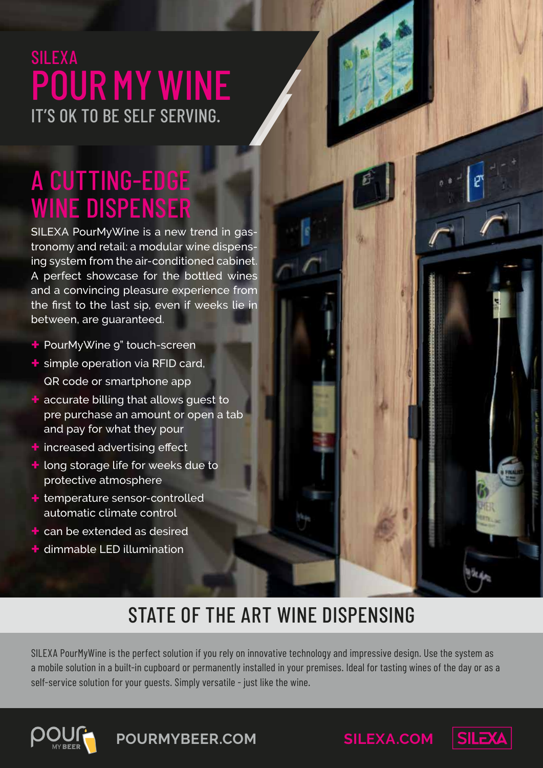## SILEXA POUR MY WINE IT'S OK TO BE SELF SERVING.

# A CUTTING-EDGE WINE DISPENSER

SILEXA PourMyWine is a new trend in gastronomy and retail: a modular wine dispensing system from the air-conditioned cabinet. A perfect showcase for the bottled wines and a convincing pleasure experience from the first to the last sip, even if weeks lie in between, are guaranteed.

- **+** PourMyWine 9" touch-screen
- **+** simple operation via RFID card, QR code or smartphone app
- **+** accurate billing that allows guest to pre purchase an amount or open a tab and pay for what they pour
- **+** increased advertising effect
- **+** long storage life for weeks due to protective atmosphere
- **+** temperature sensor-controlled automatic climate control
- **+** can be extended as desired
- **+** dimmable LED illumination

## STATE OF THE ART WINE DISPENSING

SILEXA PourMyWine is the perfect solution if you rely on innovative technology and impressive design. Use the system as a mobile solution in a built-in cupboard or permanently installed in your premises. Ideal for tasting wines of the day or as a self-service solution for your guests. Simply versatile - just like the wine.